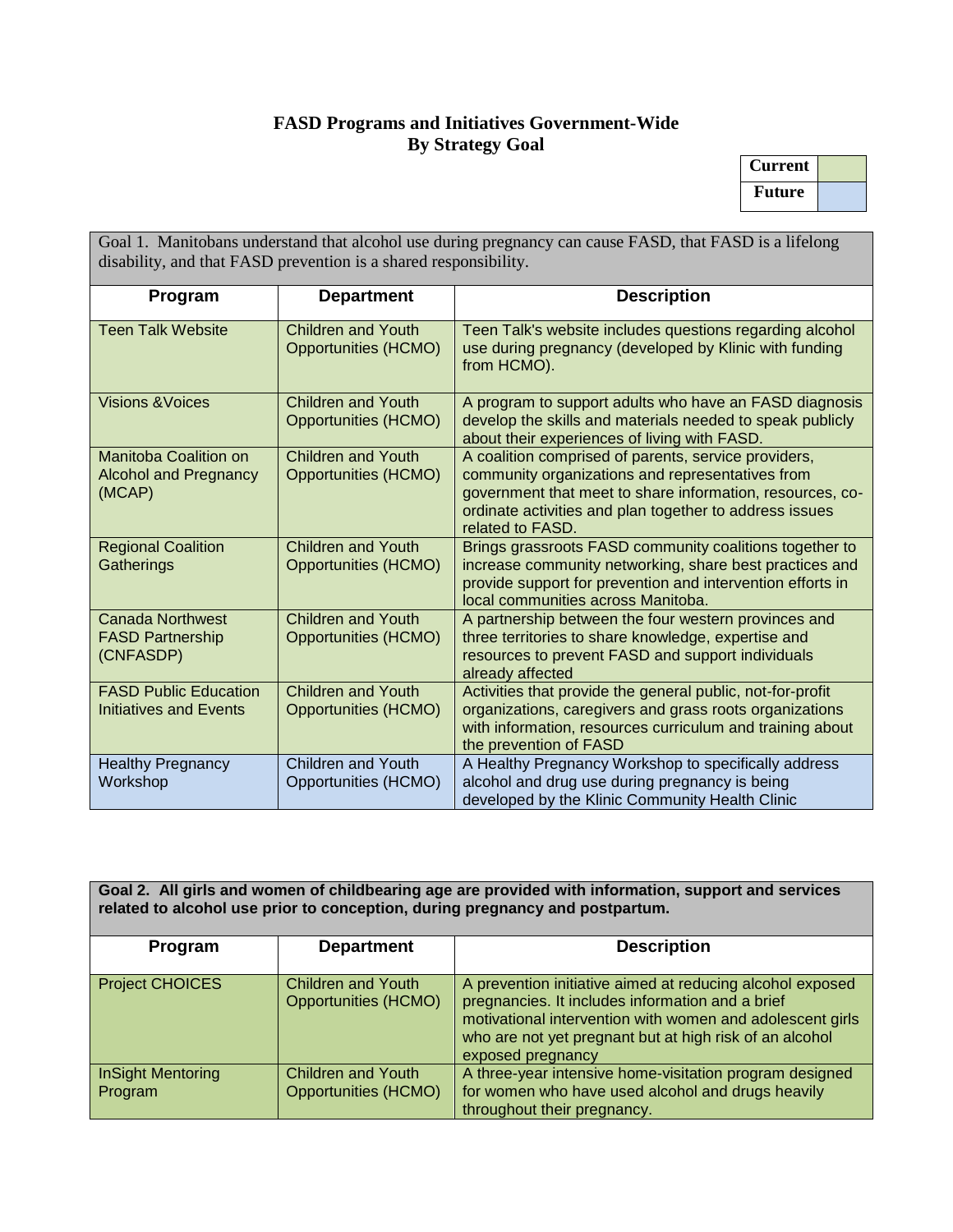## **FASD Programs and Initiatives Government-Wide By Strategy Goal**

| <b>Current</b> |  |
|----------------|--|
| Future         |  |

Goal 1. Manitobans understand that alcohol use during pregnancy can cause FASD, that FASD is a lifelong disability, and that FASD prevention is a shared responsibility.

| Program                                                                | <b>Department</b>                                        | <b>Description</b>                                                                                                                                                                                                                                   |
|------------------------------------------------------------------------|----------------------------------------------------------|------------------------------------------------------------------------------------------------------------------------------------------------------------------------------------------------------------------------------------------------------|
| <b>Teen Talk Website</b>                                               | <b>Children and Youth</b><br><b>Opportunities (HCMO)</b> | Teen Talk's website includes questions regarding alcohol<br>use during pregnancy (developed by Klinic with funding<br>from HCMO).                                                                                                                    |
| <b>Visions &amp; Voices</b>                                            | <b>Children and Youth</b><br><b>Opportunities (HCMO)</b> | A program to support adults who have an FASD diagnosis<br>develop the skills and materials needed to speak publicly<br>about their experiences of living with FASD.                                                                                  |
| <b>Manitoba Coalition on</b><br><b>Alcohol and Pregnancy</b><br>(MCAP) | <b>Children and Youth</b><br><b>Opportunities (HCMO)</b> | A coalition comprised of parents, service providers,<br>community organizations and representatives from<br>government that meet to share information, resources, co-<br>ordinate activities and plan together to address issues<br>related to FASD. |
| <b>Regional Coalition</b><br>Gatherings                                | <b>Children and Youth</b><br><b>Opportunities (HCMO)</b> | Brings grassroots FASD community coalitions together to<br>increase community networking, share best practices and<br>provide support for prevention and intervention efforts in<br>local communities across Manitoba.                               |
| <b>Canada Northwest</b><br><b>FASD Partnership</b><br>(CNFASDP)        | <b>Children and Youth</b><br><b>Opportunities (HCMO)</b> | A partnership between the four western provinces and<br>three territories to share knowledge, expertise and<br>resources to prevent FASD and support individuals<br>already affected                                                                 |
| <b>FASD Public Education</b><br><b>Initiatives and Events</b>          | <b>Children and Youth</b><br><b>Opportunities (HCMO)</b> | Activities that provide the general public, not-for-profit<br>organizations, caregivers and grass roots organizations<br>with information, resources curriculum and training about<br>the prevention of FASD                                         |
| <b>Healthy Pregnancy</b><br>Workshop                                   | <b>Children and Youth</b><br>Opportunities (HCMO)        | A Healthy Pregnancy Workshop to specifically address<br>alcohol and drug use during pregnancy is being<br>developed by the Klinic Community Health Clinic                                                                                            |

**Goal 2. All girls and women of childbearing age are provided with information, support and services related to alcohol use prior to conception, during pregnancy and postpartum.**

| Program                             | <b>Department</b>                                        | <b>Description</b>                                                                                                                                                                                                                                         |
|-------------------------------------|----------------------------------------------------------|------------------------------------------------------------------------------------------------------------------------------------------------------------------------------------------------------------------------------------------------------------|
| <b>Project CHOICES</b>              | <b>Children and Youth</b><br><b>Opportunities (HCMO)</b> | A prevention initiative aimed at reducing alcohol exposed<br>pregnancies. It includes information and a brief<br>motivational intervention with women and adolescent girls<br>who are not yet pregnant but at high risk of an alcohol<br>exposed pregnancy |
| <b>InSight Mentoring</b><br>Program | <b>Children and Youth</b><br><b>Opportunities (HCMO)</b> | A three-year intensive home-visitation program designed<br>for women who have used alcohol and drugs heavily<br>throughout their pregnancy.                                                                                                                |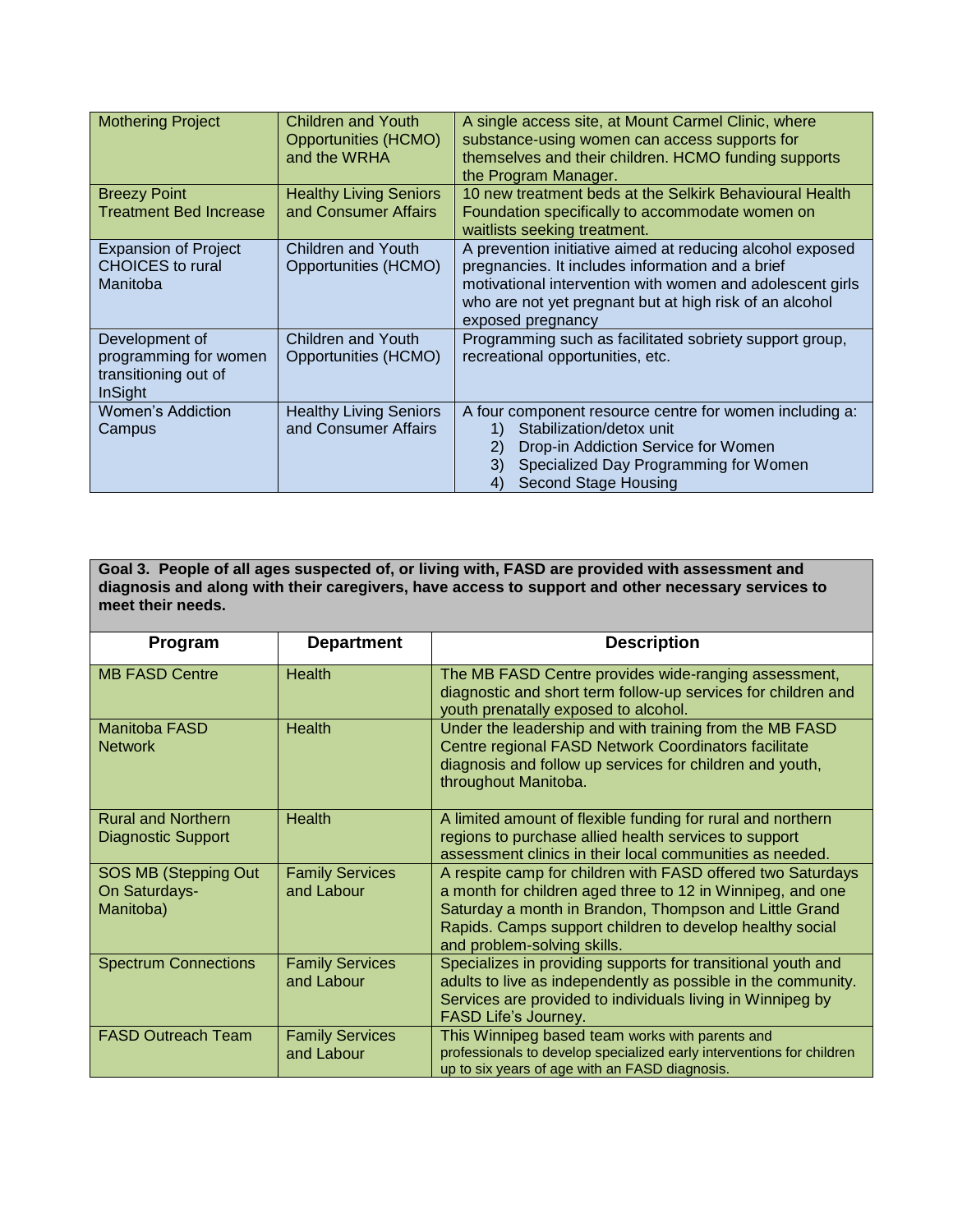| <b>Mothering Project</b>                                                          | Children and Youth<br>Opportunities (HCMO)<br>and the WRHA | A single access site, at Mount Carmel Clinic, where<br>substance-using women can access supports for<br>themselves and their children. HCMO funding supports<br>the Program Manager.                                                                       |
|-----------------------------------------------------------------------------------|------------------------------------------------------------|------------------------------------------------------------------------------------------------------------------------------------------------------------------------------------------------------------------------------------------------------------|
| <b>Breezy Point</b><br><b>Treatment Bed Increase</b>                              | <b>Healthy Living Seniors</b><br>and Consumer Affairs      | 10 new treatment beds at the Selkirk Behavioural Health<br>Foundation specifically to accommodate women on<br>waitlists seeking treatment.                                                                                                                 |
| <b>Expansion of Project</b><br><b>CHOICES</b> to rural<br>Manitoba                | Children and Youth<br>Opportunities (HCMO)                 | A prevention initiative aimed at reducing alcohol exposed<br>pregnancies. It includes information and a brief<br>motivational intervention with women and adolescent girls<br>who are not yet pregnant but at high risk of an alcohol<br>exposed pregnancy |
| Development of<br>programming for women<br>transitioning out of<br><b>InSight</b> | Children and Youth<br>Opportunities (HCMO)                 | Programming such as facilitated sobriety support group,<br>recreational opportunities, etc.                                                                                                                                                                |
| Women's Addiction<br>Campus                                                       | <b>Healthy Living Seniors</b><br>and Consumer Affairs      | A four component resource centre for women including a:<br>Stabilization/detox unit<br>Drop-in Addiction Service for Women<br>2)<br>Specialized Day Programming for Women<br>3)<br><b>Second Stage Housing</b><br>4)                                       |

**Goal 3. People of all ages suspected of, or living with, FASD are provided with assessment and diagnosis and along with their caregivers, have access to support and other necessary services to meet their needs.**

| Program                                                | <b>Department</b>                    | <b>Description</b>                                                                                                                                                                                                                                                             |
|--------------------------------------------------------|--------------------------------------|--------------------------------------------------------------------------------------------------------------------------------------------------------------------------------------------------------------------------------------------------------------------------------|
| <b>MB FASD Centre</b>                                  | <b>Health</b>                        | The MB FASD Centre provides wide-ranging assessment,<br>diagnostic and short term follow-up services for children and<br>youth prenatally exposed to alcohol.                                                                                                                  |
| <b>Manitoba FASD</b><br><b>Network</b>                 | <b>Health</b>                        | Under the leadership and with training from the MB FASD<br>Centre regional FASD Network Coordinators facilitate<br>diagnosis and follow up services for children and youth,<br>throughout Manitoba.                                                                            |
| <b>Rural and Northern</b><br><b>Diagnostic Support</b> | <b>Health</b>                        | A limited amount of flexible funding for rural and northern<br>regions to purchase allied health services to support<br>assessment clinics in their local communities as needed.                                                                                               |
| SOS MB (Stepping Out<br>On Saturdays-<br>Manitoba)     | <b>Family Services</b><br>and Labour | A respite camp for children with FASD offered two Saturdays<br>a month for children aged three to 12 in Winnipeg, and one<br>Saturday a month in Brandon, Thompson and Little Grand<br>Rapids. Camps support children to develop healthy social<br>and problem-solving skills. |
| <b>Spectrum Connections</b>                            | <b>Family Services</b><br>and Labour | Specializes in providing supports for transitional youth and<br>adults to live as independently as possible in the community.<br>Services are provided to individuals living in Winnipeg by<br>FASD Life's Journey.                                                            |
| <b>FASD Outreach Team</b>                              | <b>Family Services</b><br>and Labour | This Winnipeg based team works with parents and<br>professionals to develop specialized early interventions for children<br>up to six years of age with an FASD diagnosis.                                                                                                     |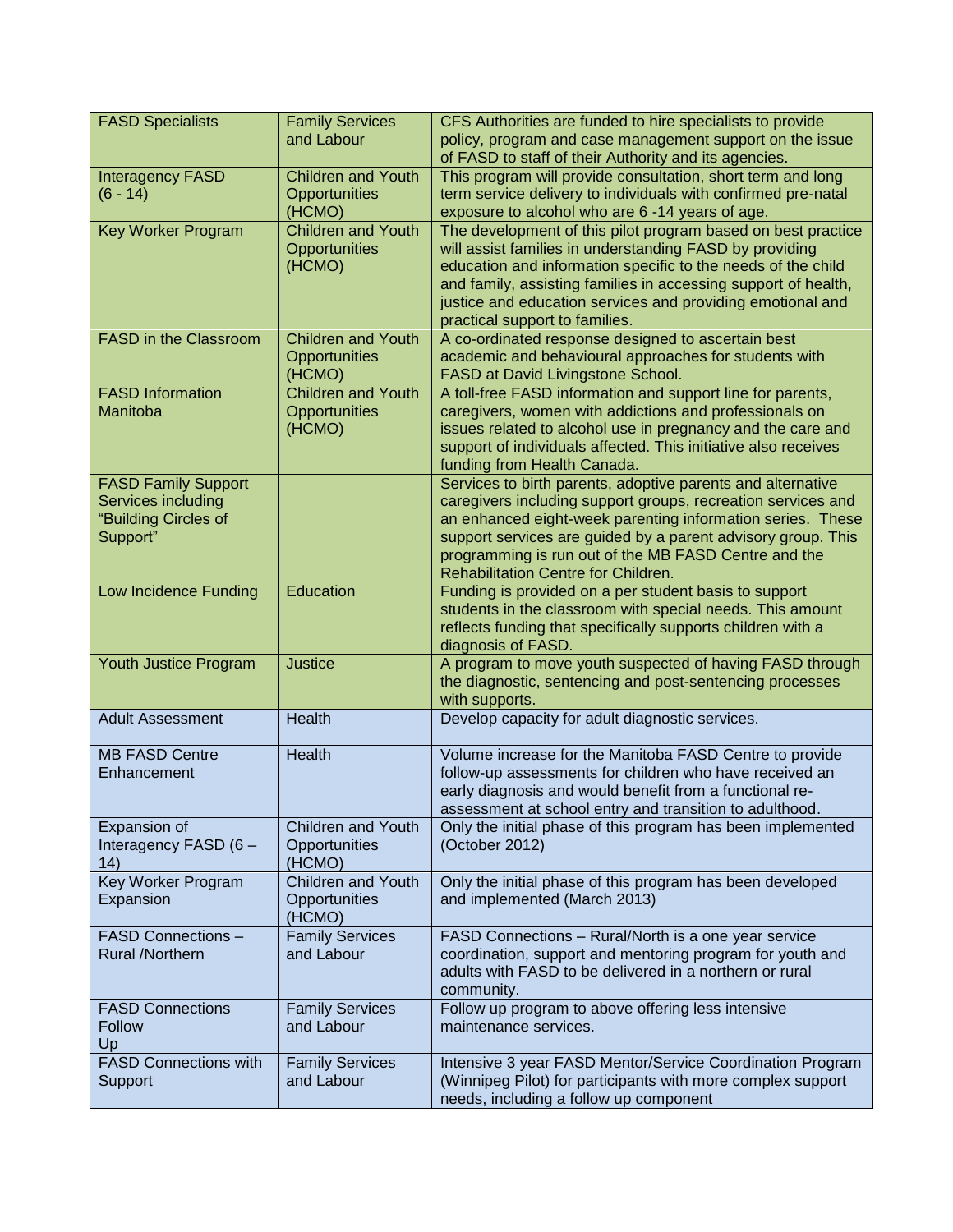| <b>FASD Specialists</b>                                                              | <b>Family Services</b><br>and Labour                 | CFS Authorities are funded to hire specialists to provide<br>policy, program and case management support on the issue                                                                                                                                                                                                                                     |
|--------------------------------------------------------------------------------------|------------------------------------------------------|-----------------------------------------------------------------------------------------------------------------------------------------------------------------------------------------------------------------------------------------------------------------------------------------------------------------------------------------------------------|
| <b>Interagency FASD</b>                                                              | <b>Children and Youth</b>                            | of FASD to staff of their Authority and its agencies.<br>This program will provide consultation, short term and long                                                                                                                                                                                                                                      |
| $(6 - 14)$                                                                           | Opportunities<br>(HCMO)                              | term service delivery to individuals with confirmed pre-natal<br>exposure to alcohol who are 6 -14 years of age.                                                                                                                                                                                                                                          |
| <b>Key Worker Program</b>                                                            | <b>Children and Youth</b><br>Opportunities<br>(HCMO) | The development of this pilot program based on best practice<br>will assist families in understanding FASD by providing<br>education and information specific to the needs of the child<br>and family, assisting families in accessing support of health,<br>justice and education services and providing emotional and<br>practical support to families. |
| FASD in the Classroom                                                                | <b>Children and Youth</b><br>Opportunities<br>(HCMO) | A co-ordinated response designed to ascertain best<br>academic and behavioural approaches for students with<br>FASD at David Livingstone School.                                                                                                                                                                                                          |
| <b>FASD Information</b><br>Manitoba                                                  | <b>Children and Youth</b><br>Opportunities<br>(HCMO) | A toll-free FASD information and support line for parents,<br>caregivers, women with addictions and professionals on<br>issues related to alcohol use in pregnancy and the care and<br>support of individuals affected. This initiative also receives<br>funding from Health Canada.                                                                      |
| <b>FASD Family Support</b><br>Services including<br>"Building Circles of<br>Support" |                                                      | Services to birth parents, adoptive parents and alternative<br>caregivers including support groups, recreation services and<br>an enhanced eight-week parenting information series. These<br>support services are guided by a parent advisory group. This<br>programming is run out of the MB FASD Centre and the<br>Rehabilitation Centre for Children.  |
| Low Incidence Funding                                                                | Education                                            | Funding is provided on a per student basis to support<br>students in the classroom with special needs. This amount<br>reflects funding that specifically supports children with a<br>diagnosis of FASD.                                                                                                                                                   |
| Youth Justice Program                                                                | <b>Justice</b>                                       | A program to move youth suspected of having FASD through<br>the diagnostic, sentencing and post-sentencing processes<br>with supports.                                                                                                                                                                                                                    |
| <b>Adult Assessment</b>                                                              | Health                                               | Develop capacity for adult diagnostic services.                                                                                                                                                                                                                                                                                                           |
| <b>MB FASD Centre</b><br>Enhancement                                                 | Health                                               | Volume increase for the Manitoba FASD Centre to provide<br>follow-up assessments for children who have received an<br>early diagnosis and would benefit from a functional re-<br>assessment at school entry and transition to adulthood.                                                                                                                  |
| Expansion of<br>Interagency FASD (6 -<br>(14)                                        | <b>Children and Youth</b><br>Opportunities<br>(HCMO) | Only the initial phase of this program has been implemented<br>(October 2012)                                                                                                                                                                                                                                                                             |
| Key Worker Program<br>Expansion                                                      | <b>Children and Youth</b><br>Opportunities<br>(HCMO) | Only the initial phase of this program has been developed<br>and implemented (March 2013)                                                                                                                                                                                                                                                                 |
| <b>FASD Connections -</b><br>Rural /Northern                                         | <b>Family Services</b><br>and Labour                 | FASD Connections - Rural/North is a one year service<br>coordination, support and mentoring program for youth and<br>adults with FASD to be delivered in a northern or rural<br>community.                                                                                                                                                                |
| <b>FASD Connections</b><br><b>Follow</b><br>Up                                       | <b>Family Services</b><br>and Labour                 | Follow up program to above offering less intensive<br>maintenance services.                                                                                                                                                                                                                                                                               |
| <b>FASD Connections with</b><br>Support                                              | <b>Family Services</b><br>and Labour                 | Intensive 3 year FASD Mentor/Service Coordination Program<br>(Winnipeg Pilot) for participants with more complex support<br>needs, including a follow up component                                                                                                                                                                                        |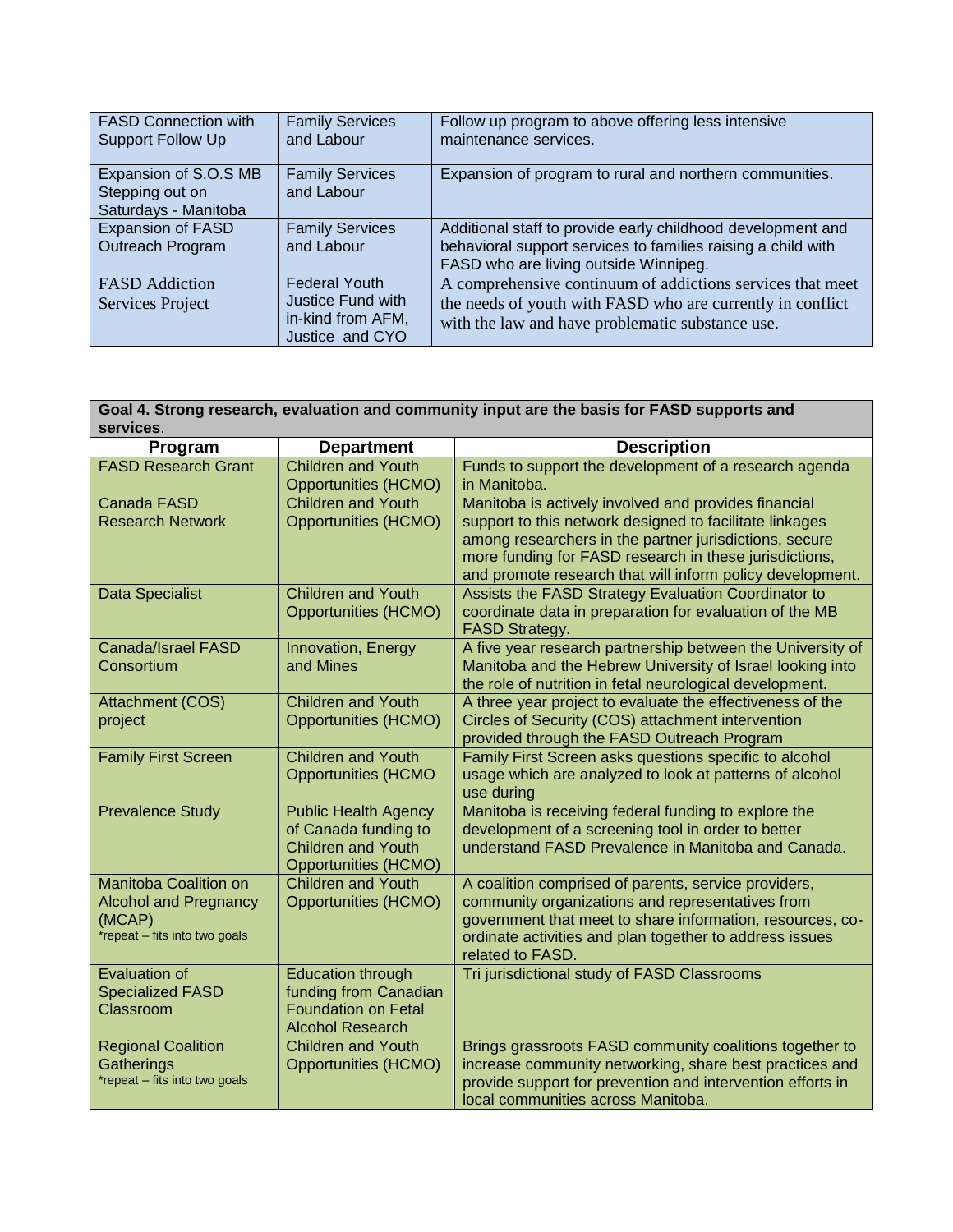| <b>FASD Connection with</b><br><b>Support Follow Up</b>          | <b>Family Services</b><br>and Labour                                              | Follow up program to above offering less intensive<br>maintenance services.                                                                                                  |
|------------------------------------------------------------------|-----------------------------------------------------------------------------------|------------------------------------------------------------------------------------------------------------------------------------------------------------------------------|
| Expansion of S.O.S MB<br>Stepping out on<br>Saturdays - Manitoba | <b>Family Services</b><br>and Labour                                              | Expansion of program to rural and northern communities.                                                                                                                      |
| <b>Expansion of FASD</b><br>Outreach Program                     | <b>Family Services</b><br>and Labour                                              | Additional staff to provide early childhood development and<br>behavioral support services to families raising a child with<br>FASD who are living outside Winnipeg.         |
| <b>FASD</b> Addiction<br>Services Project                        | <b>Federal Youth</b><br>Justice Fund with<br>in-kind from AFM,<br>Justice and CYO | A comprehensive continuum of addictions services that meet<br>the needs of youth with FASD who are currently in conflict<br>with the law and have problematic substance use. |

## **Goal 4. Strong research, evaluation and community input are the basis for FASD supports and services**.

| Program                                                                                                 | <b>Department</b>                                                                                               | <b>Description</b>                                                                                                                                                                                                                                   |
|---------------------------------------------------------------------------------------------------------|-----------------------------------------------------------------------------------------------------------------|------------------------------------------------------------------------------------------------------------------------------------------------------------------------------------------------------------------------------------------------------|
| <b>FASD Research Grant</b>                                                                              | <b>Children and Youth</b><br><b>Opportunities (HCMO)</b>                                                        | Funds to support the development of a research agenda<br>in Manitoba.                                                                                                                                                                                |
| Canada FASD                                                                                             | <b>Children and Youth</b>                                                                                       | Manitoba is actively involved and provides financial                                                                                                                                                                                                 |
| <b>Research Network</b>                                                                                 | <b>Opportunities (HCMO)</b>                                                                                     | support to this network designed to facilitate linkages<br>among researchers in the partner jurisdictions, secure<br>more funding for FASD research in these jurisdictions,<br>and promote research that will inform policy development.             |
| <b>Data Specialist</b>                                                                                  | <b>Children and Youth</b><br><b>Opportunities (HCMO)</b>                                                        | Assists the FASD Strategy Evaluation Coordinator to<br>coordinate data in preparation for evaluation of the MB<br><b>FASD Strategy.</b>                                                                                                              |
| <b>Canada/Israel FASD</b><br>Consortium                                                                 | Innovation, Energy<br>and Mines                                                                                 | A five year research partnership between the University of<br>Manitoba and the Hebrew University of Israel looking into<br>the role of nutrition in fetal neurological development.                                                                  |
| Attachment (COS)<br>project                                                                             | <b>Children and Youth</b><br><b>Opportunities (HCMO)</b>                                                        | A three year project to evaluate the effectiveness of the<br>Circles of Security (COS) attachment intervention<br>provided through the FASD Outreach Program                                                                                         |
| <b>Family First Screen</b>                                                                              | <b>Children and Youth</b><br><b>Opportunities (HCMO</b>                                                         | Family First Screen asks questions specific to alcohol<br>usage which are analyzed to look at patterns of alcohol<br>use during                                                                                                                      |
| <b>Prevalence Study</b>                                                                                 | <b>Public Health Agency</b><br>of Canada funding to<br><b>Children and Youth</b><br><b>Opportunities (HCMO)</b> | Manitoba is receiving federal funding to explore the<br>development of a screening tool in order to better<br>understand FASD Prevalence in Manitoba and Canada.                                                                                     |
| <b>Manitoba Coalition on</b><br><b>Alcohol and Pregnancy</b><br>(MCAP)<br>*repeat - fits into two goals | <b>Children and Youth</b><br><b>Opportunities (HCMO)</b>                                                        | A coalition comprised of parents, service providers,<br>community organizations and representatives from<br>government that meet to share information, resources, co-<br>ordinate activities and plan together to address issues<br>related to FASD. |
| <b>Evaluation of</b><br><b>Specialized FASD</b><br>Classroom                                            | <b>Education through</b><br>funding from Canadian<br><b>Foundation on Fetal</b><br><b>Alcohol Research</b>      | Tri jurisdictional study of FASD Classrooms                                                                                                                                                                                                          |
| <b>Regional Coalition</b><br>Gatherings<br>*repeat - fits into two goals                                | <b>Children and Youth</b><br><b>Opportunities (HCMO)</b>                                                        | Brings grassroots FASD community coalitions together to<br>increase community networking, share best practices and<br>provide support for prevention and intervention efforts in<br>local communities across Manitoba.                               |